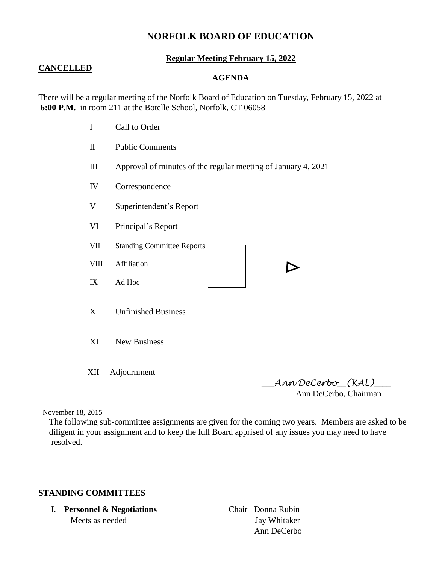# **NORFOLK BOARD OF EDUCATION**

#### **Regular Meeting February 15, 2022**

#### **CANCELLED**

#### **AGENDA**

There will be a regular meeting of the Norfolk Board of Education on Tuesday, February 15, 2022 at **6:00 P.M.** in room 211 at the Botelle School, Norfolk, CT 06058

- I Call to Order
- II Public Comments
- III Approval of minutes of the regular meeting of January 4, 2021
- IV Correspondence
- V Superintendent's Report –
- VI Principal's Report –
- VII Standing Committee Reports -
- VIII Affiliation  $\qquad \qquad \qquad$
- IX Ad Hoc
- X Unfinished Business
- XI New Business
- XII Adjournment

 \_\_\_*Ann DeCerbo*\_\_*(KAL)*\_\_\_\_ Ann DeCerbo, Chairman

November 18, 2015

 The following sub-committee assignments are given for the coming two years. Members are asked to be diligent in your assignment and to keep the full Board apprised of any issues you may need to have resolved.

#### **STANDING COMMITTEES**

I. **Personnel & Negotiations** Chair –Donna Rubin Meets as needed Jay Whitaker

Ann DeCerbo